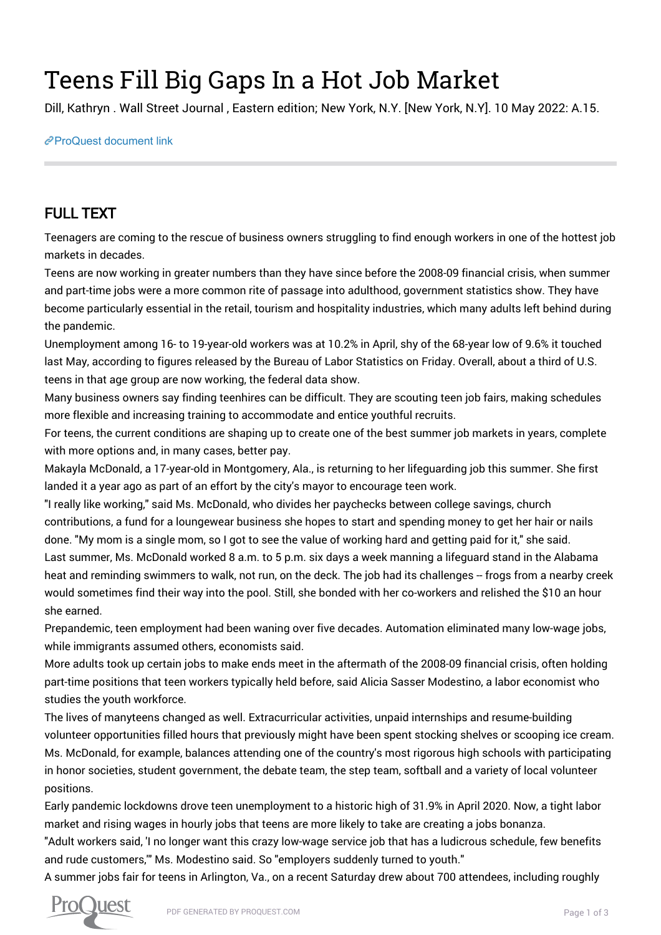## Teens Fill Big Gaps In a Hot Job Market

Dill, Kathryn . Wall Street Journal , Eastern edition; New York, N.Y. [New York, N.Y]. 10 May 2022: A.15.

[ProQuest document link](https://www.proquest.com/newspapers/teens-fill-big-gaps-hot-job-market/docview/2661347730/se-2?accountid=44910)

## FULL TEXT

Teenagers are coming to the rescue of business owners struggling to find enough workers in one of the hottest job markets in decades.

Teens are now working in greater numbers than they have since before the 2008-09 financial crisis, when summer and part-time jobs were a more common rite of passage into adulthood, government statistics show. They have become particularly essential in the retail, tourism and hospitality industries, which many adults left behind during the pandemic.

Unemployment among 16- to 19-year-old workers was at 10.2% in April, shy of the 68-year low of 9.6% it touched last May, according to figures released by the Bureau of Labor Statistics on Friday. Overall, about a third of U.S. teens in that age group are now working, the federal data show.

Many business owners say finding teenhires can be difficult. They are scouting teen job fairs, making schedules more flexible and increasing training to accommodate and entice youthful recruits.

For teens, the current conditions are shaping up to create one of the best summer job markets in years, complete with more options and, in many cases, better pay.

Makayla McDonald, a 17-year-old in Montgomery, Ala., is returning to her lifeguarding job this summer. She first landed it a year ago as part of an effort by the city's mayor to encourage teen work.

"I really like working," said Ms. McDonald, who divides her paychecks between college savings, church contributions, a fund for a loungewear business she hopes to start and spending money to get her hair or nails done. "My mom is a single mom, so I got to see the value of working hard and getting paid for it," she said. Last summer, Ms. McDonald worked 8 a.m. to 5 p.m. six days a week manning a lifeguard stand in the Alabama heat and reminding swimmers to walk, not run, on the deck. The job had its challenges -- frogs from a nearby creek would sometimes find their way into the pool. Still, she bonded with her co-workers and relished the \$10 an hour

she earned.

Prepandemic, teen employment had been waning over five decades. Automation eliminated many low-wage jobs, while immigrants assumed others, economists said.

More adults took up certain jobs to make ends meet in the aftermath of the 2008-09 financial crisis, often holding part-time positions that teen workers typically held before, said Alicia Sasser Modestino, a labor economist who studies the youth workforce.

The lives of manyteens changed as well. Extracurricular activities, unpaid internships and resume-building volunteer opportunities filled hours that previously might have been spent stocking shelves or scooping ice cream. Ms. McDonald, for example, balances attending one of the country's most rigorous high schools with participating in honor societies, student government, the debate team, the step team, softball and a variety of local volunteer positions.

Early pandemic lockdowns drove teen unemployment to a historic high of 31.9% in April 2020. Now, a tight labor market and rising wages in hourly jobs that teens are more likely to take are creating a jobs bonanza.

"Adult workers said, 'I no longer want this crazy low-wage service job that has a ludicrous schedule, few benefits and rude customers,'" Ms. Modestino said. So "employers suddenly turned to youth."

A summer jobs fair for teens in Arlington, Va., on a recent Saturday drew about 700 attendees, including roughly

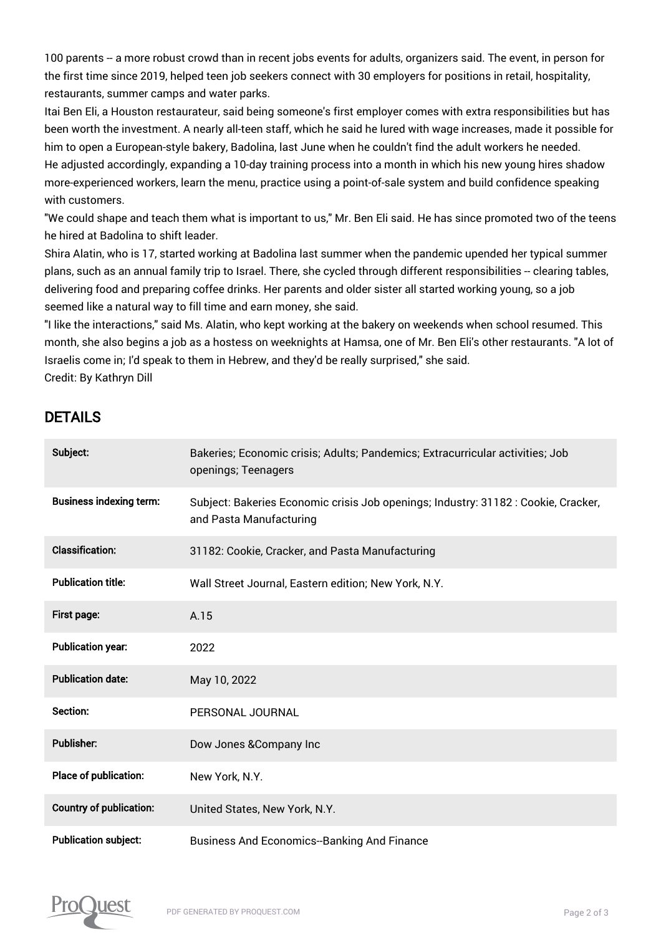100 parents -- a more robust crowd than in recent jobs events for adults, organizers said. The event, in person for the first time since 2019, helped teen job seekers connect with 30 employers for positions in retail, hospitality, restaurants, summer camps and water parks.

Itai Ben Eli, a Houston restaurateur, said being someone's first employer comes with extra responsibilities but has been worth the investment. A nearly all-teen staff, which he said he lured with wage increases, made it possible for him to open a European-style bakery, Badolina, last June when he couldn't find the adult workers he needed. He adjusted accordingly, expanding a 10-day training process into a month in which his new young hires shadow more-experienced workers, learn the menu, practice using a point-of-sale system and build confidence speaking with customers.

"We could shape and teach them what is important to us," Mr. Ben Eli said. He has since promoted two of the teens he hired at Badolina to shift leader.

Shira Alatin, who is 17, started working at Badolina last summer when the pandemic upended her typical summer plans, such as an annual family trip to Israel. There, she cycled through different responsibilities -- clearing tables, delivering food and preparing coffee drinks. Her parents and older sister all started working young, so a job seemed like a natural way to fill time and earn money, she said.

"I like the interactions," said Ms. Alatin, who kept working at the bakery on weekends when school resumed. This month, she also begins a job as a hostess on weeknights at Hamsa, one of Mr. Ben Eli's other restaurants. "A lot of Israelis come in; I'd speak to them in Hebrew, and they'd be really surprised," she said. Credit: By Kathryn Dill

## DETAILS

| Subject:                       | Bakeries; Economic crisis; Adults; Pandemics; Extracurricular activities; Job<br>openings; Teenagers          |
|--------------------------------|---------------------------------------------------------------------------------------------------------------|
| <b>Business indexing term:</b> | Subject: Bakeries Economic crisis Job openings; Industry: 31182 : Cookie, Cracker,<br>and Pasta Manufacturing |
| <b>Classification:</b>         | 31182: Cookie, Cracker, and Pasta Manufacturing                                                               |
| <b>Publication title:</b>      | Wall Street Journal, Eastern edition; New York, N.Y.                                                          |
| <b>First page:</b>             | A.15                                                                                                          |
| <b>Publication year:</b>       | 2022                                                                                                          |
| <b>Publication date:</b>       | May 10, 2022                                                                                                  |
| Section:                       | PERSONAL JOURNAL                                                                                              |
| <b>Publisher:</b>              | Dow Jones & Company Inc                                                                                       |
| Place of publication:          | New York, N.Y.                                                                                                |
| <b>Country of publication:</b> | United States, New York, N.Y.                                                                                 |
| <b>Publication subject:</b>    | <b>Business And Economics-Banking And Finance</b>                                                             |